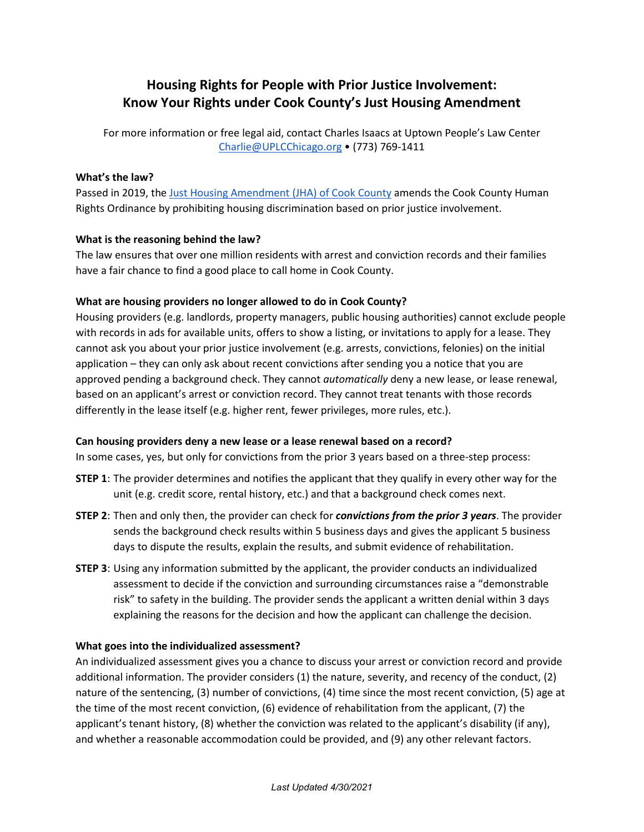# **Housing Rights for People with Prior Justice Involvement: Know Your Rights under Cook County's Just Housing Amendment**

For more information or free legal aid, contact Charles Isaacs at Uptown People's Law Center [Charlie@UPLCChicago.org](mailto:Charlie@UPLCChicago.org) • (773) 769-1411

#### **What's the law?**

Passed in 2019, the [Just Housing Amendment \(JHA\) of Cook County](https://www.cookcountyil.gov/content/just-housing-amendment-human-rights-ordinance) amends the Cook County Human Rights Ordinance by prohibiting housing discrimination based on prior justice involvement.

# **What is the reasoning behind the law?**

The law ensures that over one million residents with arrest and conviction records and their families have a fair chance to find a good place to call home in Cook County.

# **What are housing providers no longer allowed to do in Cook County?**

Housing providers (e.g. landlords, property managers, public housing authorities) cannot exclude people with records in ads for available units, offers to show a listing, or invitations to apply for a lease. They cannot ask you about your prior justice involvement (e.g. arrests, convictions, felonies) on the initial application – they can only ask about recent convictions after sending you a notice that you are approved pending a background check. They cannot *automatically* deny a new lease, or lease renewal, based on an applicant's arrest or conviction record. They cannot treat tenants with those records differently in the lease itself (e.g. higher rent, fewer privileges, more rules, etc.).

#### **Can housing providers deny a new lease or a lease renewal based on a record?**

In some cases, yes, but only for convictions from the prior 3 years based on a three-step process:

- **STEP 1**: The provider determines and notifies the applicant that they qualify in every other way for the unit (e.g. credit score, rental history, etc.) and that a background check comes next.
- **STEP 2**: Then and only then, the provider can check for *convictions from the prior 3 years*. The provider sends the background check results within 5 business days and gives the applicant 5 business days to dispute the results, explain the results, and submit evidence of rehabilitation.
- **STEP 3**: Using any information submitted by the applicant, the provider conducts an individualized assessment to decide if the conviction and surrounding circumstances raise a "demonstrable risk" to safety in the building. The provider sends the applicant a written denial within 3 days explaining the reasons for the decision and how the applicant can challenge the decision.

#### **What goes into the individualized assessment?**

An individualized assessment gives you a chance to discuss your arrest or conviction record and provide additional information. The provider considers (1) the nature, severity, and recency of the conduct, (2) nature of the sentencing, (3) number of convictions, (4) time since the most recent conviction, (5) age at the time of the most recent conviction, (6) evidence of rehabilitation from the applicant, (7) the applicant's tenant history, (8) whether the conviction was related to the applicant's disability (if any), and whether a reasonable accommodation could be provided, and (9) any other relevant factors.